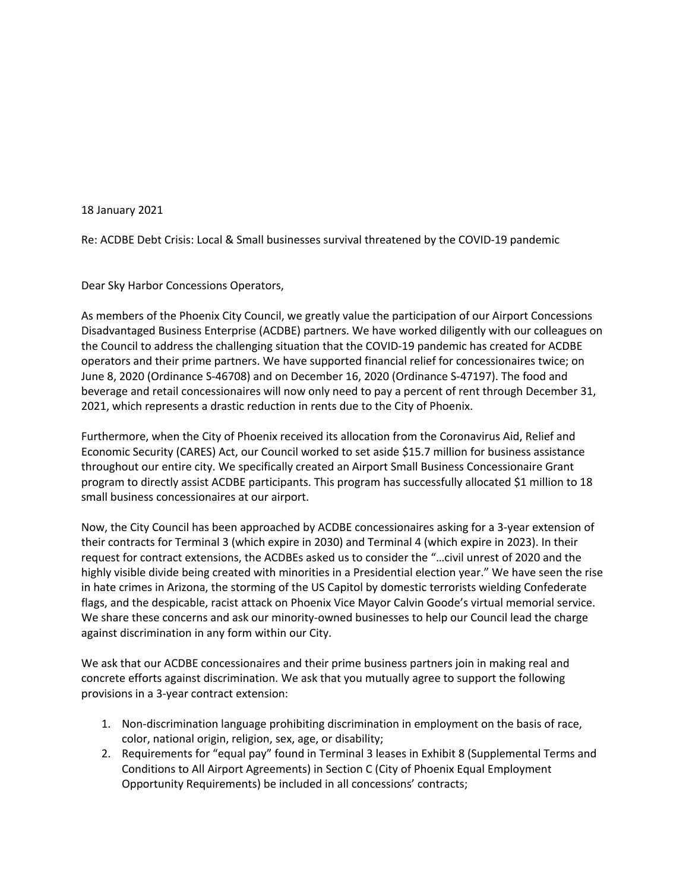18 January 2021

Re: ACDBE Debt Crisis: Local & Small businesses survival threatened by the COVID-19 pandemic

Dear Sky Harbor Concessions Operators,

As members of the Phoenix City Council, we greatly value the participation of our Airport Concessions Disadvantaged Business Enterprise (ACDBE) partners. We have worked diligently with our colleagues on the Council to address the challenging situation that the COVID-19 pandemic has created for ACDBE operators and their prime partners. We have supported financial relief for concessionaires twice; on June 8, 2020 (Ordinance S-46708) and on December 16, 2020 (Ordinance S-47197). The food and beverage and retail concessionaires will now only need to pay a percent of rent through December 31, 2021, which represents a drastic reduction in rents due to the City of Phoenix.

Furthermore, when the City of Phoenix received its allocation from the Coronavirus Aid, Relief and Economic Security (CARES) Act, our Council worked to set aside \$15.7 million for business assistance throughout our entire city. We specifically created an Airport Small Business Concessionaire Grant program to directly assist ACDBE participants. This program has successfully allocated \$1 million to 18 small business concessionaires at our airport.

Now, the City Council has been approached by ACDBE concessionaires asking for a 3-year extension of their contracts for Terminal 3 (which expire in 2030) and Terminal 4 (which expire in 2023). In their request for contract extensions, the ACDBEs asked us to consider the "…civil unrest of 2020 and the highly visible divide being created with minorities in a Presidential election year." We have seen the rise in hate crimes in Arizona, the storming of the US Capitol by domestic terrorists wielding Confederate flags, and the despicable, racist attack on Phoenix Vice Mayor Calvin Goode's virtual memorial service. We share these concerns and ask our minority-owned businesses to help our Council lead the charge against discrimination in any form within our City.

We ask that our ACDBE concessionaires and their prime business partners join in making real and concrete efforts against discrimination. We ask that you mutually agree to support the following provisions in a 3-year contract extension:

- 1. Non-discrimination language prohibiting discrimination in employment on the basis of race, color, national origin, religion, sex, age, or disability;
- 2. Requirements for "equal pay" found in Terminal 3 leases in Exhibit 8 (Supplemental Terms and Conditions to All Airport Agreements) in Section C (City of Phoenix Equal Employment Opportunity Requirements) be included in all concessions' contracts;